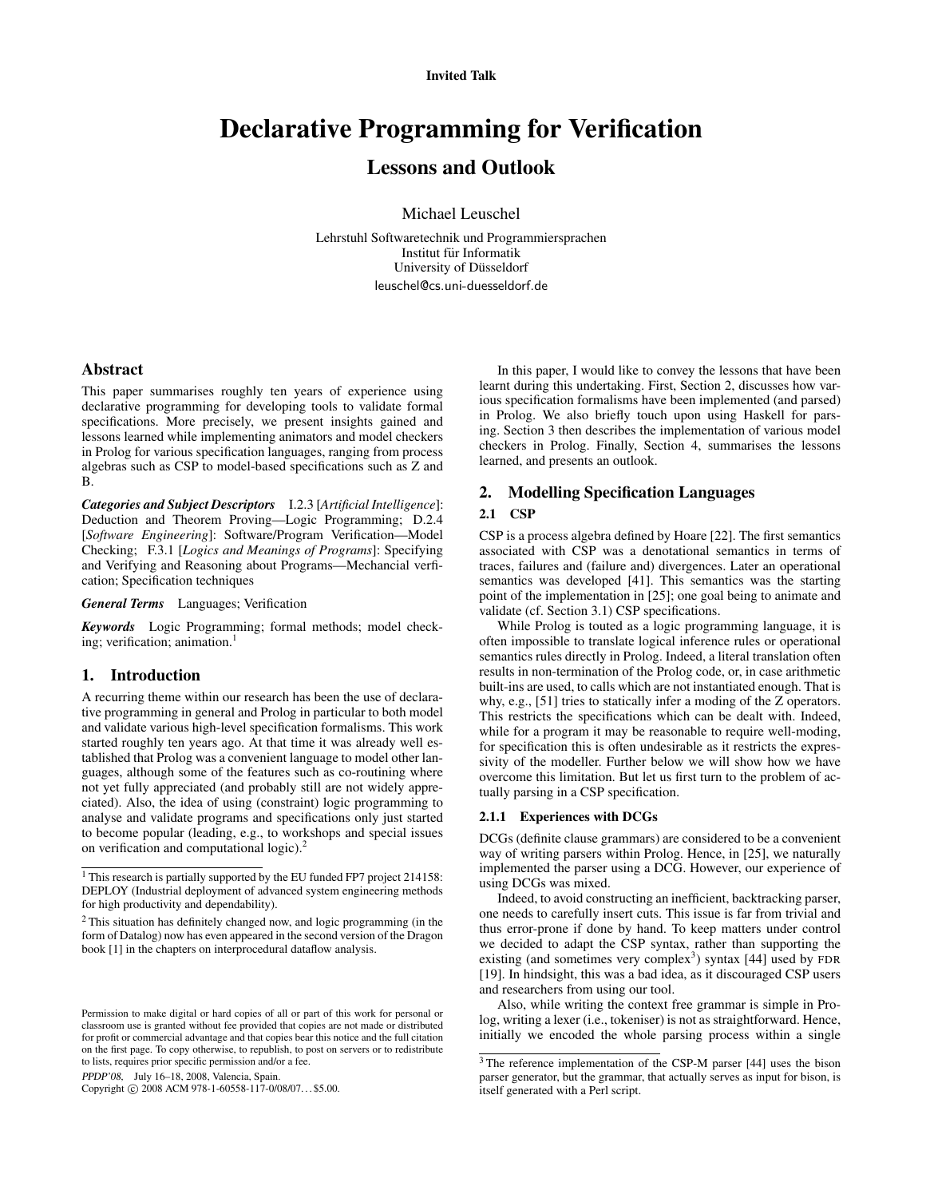#### Invited Talk

# Declarative Programming for Verification

# Lessons and Outlook

Michael Leuschel

Lehrstuhl Softwaretechnik und Programmiersprachen Institut für Informatik University of Düsseldorf leuschel@cs.uni-duesseldorf.de

## Abstract

This paper summarises roughly ten years of experience using declarative programming for developing tools to validate formal specifications. More precisely, we present insights gained and lessons learned while implementing animators and model checkers in Prolog for various specification languages, ranging from process algebras such as CSP to model-based specifications such as Z and B.

*Categories and Subject Descriptors* I.2.3 [*Artificial Intelligence*]: Deduction and Theorem Proving—Logic Programming; D.2.4 [*Software Engineering*]: Software/Program Verification—Model Checking; F.3.1 [*Logics and Meanings of Programs*]: Specifying and Verifying and Reasoning about Programs—Mechancial verfication; Specification techniques

*General Terms* Languages; Verification

*Keywords* Logic Programming; formal methods; model checking; verification; animation. $<sup>1</sup>$ </sup>

#### 1. Introduction

A recurring theme within our research has been the use of declarative programming in general and Prolog in particular to both model and validate various high-level specification formalisms. This work started roughly ten years ago. At that time it was already well established that Prolog was a convenient language to model other languages, although some of the features such as co-routining where not yet fully appreciated (and probably still are not widely appreciated). Also, the idea of using (constraint) logic programming to analyse and validate programs and specifications only just started to become popular (leading, e.g., to workshops and special issues on verification and computational logic).<sup>2</sup>

PPDP'08, July 16–18, 2008, Valencia, Spain.

Copyright © 2008 ACM 978-1-60558-117-0/08/07... \$5.00.

In this paper, I would like to convey the lessons that have been learnt during this undertaking. First, Section 2, discusses how various specification formalisms have been implemented (and parsed) in Prolog. We also briefly touch upon using Haskell for parsing. Section 3 then describes the implementation of various model checkers in Prolog. Finally, Section 4, summarises the lessons learned, and presents an outlook.

#### 2. Modelling Specification Languages

#### 2.1 CSP

CSP is a process algebra defined by Hoare [22]. The first semantics associated with CSP was a denotational semantics in terms of traces, failures and (failure and) divergences. Later an operational semantics was developed [41]. This semantics was the starting point of the implementation in [25]; one goal being to animate and validate (cf. Section 3.1) CSP specifications.

While Prolog is touted as a logic programming language, it is often impossible to translate logical inference rules or operational semantics rules directly in Prolog. Indeed, a literal translation often results in non-termination of the Prolog code, or, in case arithmetic built-ins are used, to calls which are not instantiated enough. That is why, e.g., [51] tries to statically infer a moding of the Z operators. This restricts the specifications which can be dealt with. Indeed, while for a program it may be reasonable to require well-moding, for specification this is often undesirable as it restricts the expressivity of the modeller. Further below we will show how we have overcome this limitation. But let us first turn to the problem of actually parsing in a CSP specification.

#### 2.1.1 Experiences with DCGs

DCGs (definite clause grammars) are considered to be a convenient way of writing parsers within Prolog. Hence, in [25], we naturally implemented the parser using a DCG. However, our experience of using DCGs was mixed.

Indeed, to avoid constructing an inefficient, backtracking parser, one needs to carefully insert cuts. This issue is far from trivial and thus error-prone if done by hand. To keep matters under control we decided to adapt the CSP syntax, rather than supporting the existing (and sometimes very complex<sup>3</sup>) syntax  $[44]$  used by FDR [19]. In hindsight, this was a bad idea, as it discouraged CSP users and researchers from using our tool.

Also, while writing the context free grammar is simple in Prolog, writing a lexer (i.e., tokeniser) is not as straightforward. Hence, initially we encoded the whole parsing process within a single

<sup>&</sup>lt;sup>1</sup> This research is partially supported by the EU funded FP7 project 214158: DEPLOY (Industrial deployment of advanced system engineering methods for high productivity and dependability).

<sup>2</sup> This situation has definitely changed now, and logic programming (in the form of Datalog) now has even appeared in the second version of the Dragon book [1] in the chapters on interprocedural dataflow analysis.

Permission to make digital or hard copies of all or part of this work for personal or classroom use is granted without fee provided that copies are not made or distributed for profit or commercial advantage and that copies bear this notice and the full citation on the first page. To copy otherwise, to republish, to post on servers or to redistribute to lists, requires prior specific permission and/or a fee.

<sup>3</sup> The reference implementation of the CSP-M parser [44] uses the bison parser generator, but the grammar, that actually serves as input for bison, is itself generated with a Perl script.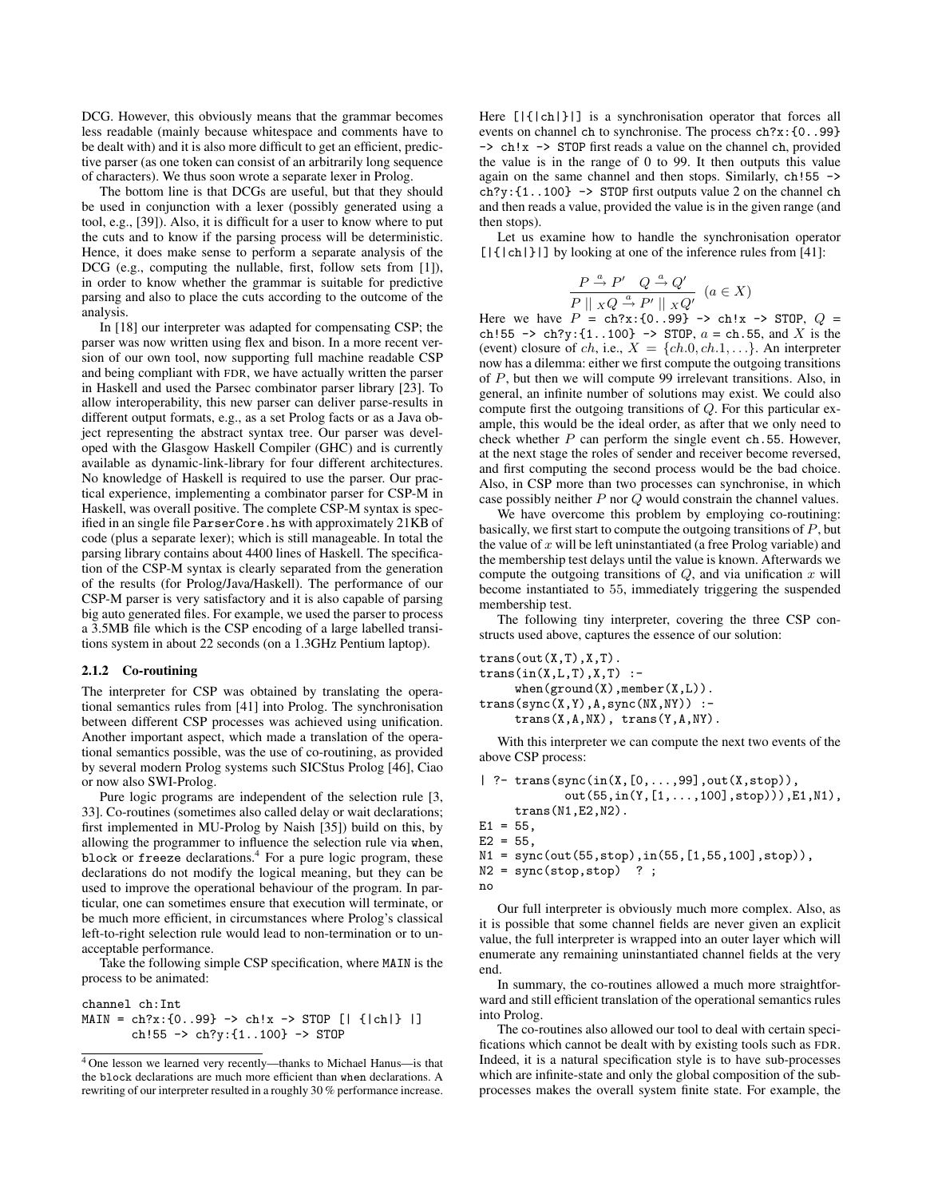DCG. However, this obviously means that the grammar becomes less readable (mainly because whitespace and comments have to be dealt with) and it is also more difficult to get an efficient, predictive parser (as one token can consist of an arbitrarily long sequence of characters). We thus soon wrote a separate lexer in Prolog.

The bottom line is that DCGs are useful, but that they should be used in conjunction with a lexer (possibly generated using a tool, e.g., [39]). Also, it is difficult for a user to know where to put the cuts and to know if the parsing process will be deterministic. Hence, it does make sense to perform a separate analysis of the DCG (e.g., computing the nullable, first, follow sets from [1]), in order to know whether the grammar is suitable for predictive parsing and also to place the cuts according to the outcome of the analysis.

In [18] our interpreter was adapted for compensating CSP; the parser was now written using flex and bison. In a more recent version of our own tool, now supporting full machine readable CSP and being compliant with FDR, we have actually written the parser in Haskell and used the Parsec combinator parser library [23]. To allow interoperability, this new parser can deliver parse-results in different output formats, e.g., as a set Prolog facts or as a Java object representing the abstract syntax tree. Our parser was developed with the Glasgow Haskell Compiler (GHC) and is currently available as dynamic-link-library for four different architectures. No knowledge of Haskell is required to use the parser. Our practical experience, implementing a combinator parser for CSP-M in Haskell, was overall positive. The complete CSP-M syntax is specified in an single file ParserCore.hs with approximately 21KB of code (plus a separate lexer); which is still manageable. In total the parsing library contains about 4400 lines of Haskell. The specification of the CSP-M syntax is clearly separated from the generation of the results (for Prolog/Java/Haskell). The performance of our CSP-M parser is very satisfactory and it is also capable of parsing big auto generated files. For example, we used the parser to process a 3.5MB file which is the CSP encoding of a large labelled transitions system in about 22 seconds (on a 1.3GHz Pentium laptop).

#### 2.1.2 Co-routining

The interpreter for CSP was obtained by translating the operational semantics rules from [41] into Prolog. The synchronisation between different CSP processes was achieved using unification. Another important aspect, which made a translation of the operational semantics possible, was the use of co-routining, as provided by several modern Prolog systems such SICStus Prolog [46], Ciao or now also SWI-Prolog.

Pure logic programs are independent of the selection rule [3, 33]. Co-routines (sometimes also called delay or wait declarations; first implemented in MU-Prolog by Naish [35]) build on this, by allowing the programmer to influence the selection rule via when, block or freeze declarations.<sup>4</sup> For a pure logic program, these declarations do not modify the logical meaning, but they can be used to improve the operational behaviour of the program. In particular, one can sometimes ensure that execution will terminate, or be much more efficient, in circumstances where Prolog's classical left-to-right selection rule would lead to non-termination or to unacceptable performance.

Take the following simple CSP specification, where MAIN is the process to be animated:

channel ch:Int  $MAIN = ch?x: {0..99} \rightarrow ch!x \rightarrow STOP$  [| {|ch|} |] ch! $55 \rightarrow ch?y: \{1..100\} \rightarrow ST0P$ 

Here  $[|\{\text{ch}|\}]$  is a synchronisation operator that forces all events on channel ch to synchronise. The process ch?x:{0..99} -> ch!x -> STOP first reads a value on the channel ch, provided the value is in the range of 0 to 99. It then outputs this value again on the same channel and then stops. Similarly, ch!55 ->  $ch?y: \{1..100\} \rightarrow STOP$  first outputs value 2 on the channel ch and then reads a value, provided the value is in the given range (and then stops).

Let us examine how to handle the synchronisation operator  $[|\{|\text{ch}|\}|]$  by looking at one of the inference rules from [41]:

$$
\frac{P \stackrel{a}{\to} P' \quad Q \stackrel{a}{\to} Q'}{P \parallel x \, Q \stackrel{a}{\to} P' \parallel x \, Q'} \quad (a \in X)
$$

Here we have  $P = \text{ch}?\mathbf{x}:\{0..99\} \rightarrow \text{ch}!\mathbf{x} \rightarrow \text{STOP}, Q =$ ch!55 -> ch?y: $\{1..100\}$  -> STOP,  $a =$  ch.55, and X is the (event) closure of ch, i.e.,  $X = \{ch.0, ch.1, ...\}$ . An interpreter now has a dilemma: either we first compute the outgoing transitions of P, but then we will compute 99 irrelevant transitions. Also, in general, an infinite number of solutions may exist. We could also compute first the outgoing transitions of Q. For this particular example, this would be the ideal order, as after that we only need to check whether  $P$  can perform the single event ch.55. However, at the next stage the roles of sender and receiver become reversed, and first computing the second process would be the bad choice. Also, in CSP more than two processes can synchronise, in which case possibly neither  $P$  nor  $\overline{Q}$  would constrain the channel values.

We have overcome this problem by employing co-routining: basically, we first start to compute the outgoing transitions of  $P$ , but the value of  $x$  will be left uninstantiated (a free Prolog variable) and the membership test delays until the value is known. Afterwards we compute the outgoing transitions of  $Q$ , and via unification  $x$  will become instantiated to 55, immediately triggering the suspended membership test.

The following tiny interpreter, covering the three CSP constructs used above, captures the essence of our solution:

 $trans(out(X,T),X,T)$ .  $trans(in(X, L, T), X, T)$  : $when(ground(X),member(X, L))$ .  $trans(sync(X,Y),A,sync(NX,NY))$  : $trans(X, A, NX)$ ,  $trans(Y, A, NY)$ .

With this interpreter we can compute the next two events of the above CSP process:

```
| ?- trans(sync(in(X,[0,...,99],out(X,stop)),
            out(55,in(Y,[1,...,100],stop))),E1,N1),
     trans(N1,E2,N2).
E1 = 55,
E2 = 55.
N1 = sync(out(55,stop),in(55,[1,55,100],stop)),
```
 $N2 = sync(stop, stop)$  ?;

```
no
```
Our full interpreter is obviously much more complex. Also, as it is possible that some channel fields are never given an explicit value, the full interpreter is wrapped into an outer layer which will enumerate any remaining uninstantiated channel fields at the very end.

In summary, the co-routines allowed a much more straightforward and still efficient translation of the operational semantics rules into Prolog.

The co-routines also allowed our tool to deal with certain specifications which cannot be dealt with by existing tools such as FDR. Indeed, it is a natural specification style is to have sub-processes which are infinite-state and only the global composition of the subprocesses makes the overall system finite state. For example, the

<sup>4</sup> One lesson we learned very recently—thanks to Michael Hanus—is that the block declarations are much more efficient than when declarations. A rewriting of our interpreter resulted in a roughly 30 % performance increase.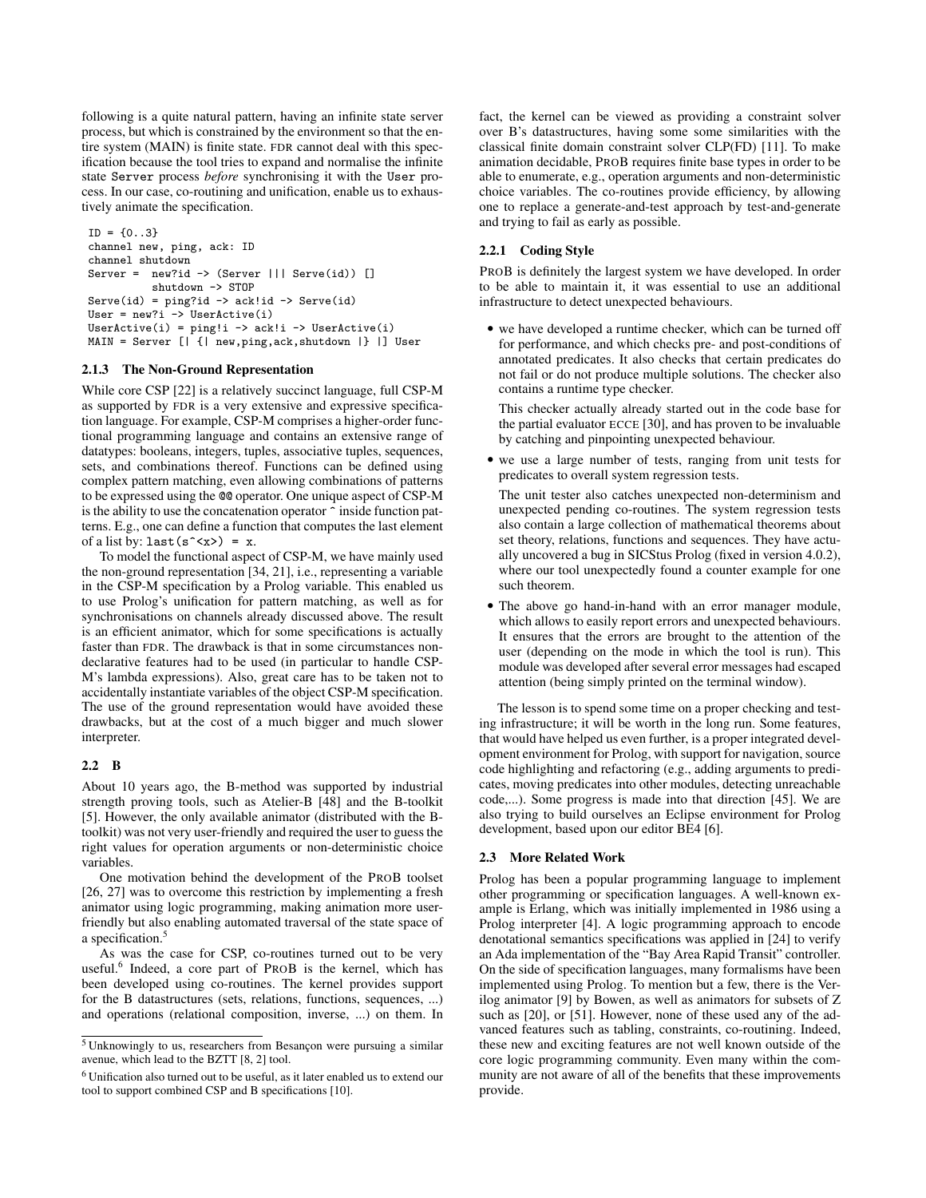following is a quite natural pattern, having an infinite state server process, but which is constrained by the environment so that the entire system (MAIN) is finite state. FDR cannot deal with this specification because the tool tries to expand and normalise the infinite state Server process *before* synchronising it with the User process. In our case, co-routining and unification, enable us to exhaustively animate the specification.

```
ID = \{0..3\}channel new, ping, ack: ID
channel shutdown
Server = new?id -> (Server ||| Serve(id)) []
          shutdown -> STOP
Serve(id) = ping?id -> ack!id -> Serve(id)
User = new?i -> UserActive(i)
UserActive(i) = ping!i -> ack!i -> UserActive(i)
MAIN = Server [| {| new,ping,ack,shutdown |} |] User
```
#### 2.1.3 The Non-Ground Representation

While core CSP [22] is a relatively succinct language, full CSP-M as supported by FDR is a very extensive and expressive specification language. For example, CSP-M comprises a higher-order functional programming language and contains an extensive range of datatypes: booleans, integers, tuples, associative tuples, sequences, sets, and combinations thereof. Functions can be defined using complex pattern matching, even allowing combinations of patterns to be expressed using the @@ operator. One unique aspect of CSP-M is the ability to use the concatenation operator ^ inside function patterns. E.g., one can define a function that computes the last element of a list by:  $last(s^{\texttt{-x}}) = x$ .

To model the functional aspect of CSP-M, we have mainly used the non-ground representation [34, 21], i.e., representing a variable in the CSP-M specification by a Prolog variable. This enabled us to use Prolog's unification for pattern matching, as well as for synchronisations on channels already discussed above. The result is an efficient animator, which for some specifications is actually faster than FDR. The drawback is that in some circumstances nondeclarative features had to be used (in particular to handle CSP-M's lambda expressions). Also, great care has to be taken not to accidentally instantiate variables of the object CSP-M specification. The use of the ground representation would have avoided these drawbacks, but at the cost of a much bigger and much slower interpreter.

#### 2.2 B

About 10 years ago, the B-method was supported by industrial strength proving tools, such as Atelier-B [48] and the B-toolkit [5]. However, the only available animator (distributed with the Btoolkit) was not very user-friendly and required the user to guess the right values for operation arguments or non-deterministic choice variables.

One motivation behind the development of the PROB toolset [26, 27] was to overcome this restriction by implementing a fresh animator using logic programming, making animation more userfriendly but also enabling automated traversal of the state space of a specification.<sup>5</sup>

As was the case for CSP, co-routines turned out to be very useful.<sup>6</sup> Indeed, a core part of PROB is the kernel, which has been developed using co-routines. The kernel provides support for the B datastructures (sets, relations, functions, sequences, ...) and operations (relational composition, inverse, ...) on them. In

fact, the kernel can be viewed as providing a constraint solver over B's datastructures, having some some similarities with the classical finite domain constraint solver CLP(FD) [11]. To make animation decidable, PROB requires finite base types in order to be able to enumerate, e.g., operation arguments and non-deterministic choice variables. The co-routines provide efficiency, by allowing one to replace a generate-and-test approach by test-and-generate and trying to fail as early as possible.

#### 2.2.1 Coding Style

PROB is definitely the largest system we have developed. In order to be able to maintain it, it was essential to use an additional infrastructure to detect unexpected behaviours.

• we have developed a runtime checker, which can be turned off for performance, and which checks pre- and post-conditions of annotated predicates. It also checks that certain predicates do not fail or do not produce multiple solutions. The checker also contains a runtime type checker.

This checker actually already started out in the code base for the partial evaluator ECCE [30], and has proven to be invaluable by catching and pinpointing unexpected behaviour.

• we use a large number of tests, ranging from unit tests for predicates to overall system regression tests.

The unit tester also catches unexpected non-determinism and unexpected pending co-routines. The system regression tests also contain a large collection of mathematical theorems about set theory, relations, functions and sequences. They have actually uncovered a bug in SICStus Prolog (fixed in version 4.0.2), where our tool unexpectedly found a counter example for one such theorem.

• The above go hand-in-hand with an error manager module, which allows to easily report errors and unexpected behaviours. It ensures that the errors are brought to the attention of the user (depending on the mode in which the tool is run). This module was developed after several error messages had escaped attention (being simply printed on the terminal window).

The lesson is to spend some time on a proper checking and testing infrastructure; it will be worth in the long run. Some features, that would have helped us even further, is a proper integrated development environment for Prolog, with support for navigation, source code highlighting and refactoring (e.g., adding arguments to predicates, moving predicates into other modules, detecting unreachable code,...). Some progress is made into that direction [45]. We are also trying to build ourselves an Eclipse environment for Prolog development, based upon our editor BE4 [6].

#### 2.3 More Related Work

Prolog has been a popular programming language to implement other programming or specification languages. A well-known example is Erlang, which was initially implemented in 1986 using a Prolog interpreter [4]. A logic programming approach to encode denotational semantics specifications was applied in [24] to verify an Ada implementation of the "Bay Area Rapid Transit" controller. On the side of specification languages, many formalisms have been implemented using Prolog. To mention but a few, there is the Verilog animator [9] by Bowen, as well as animators for subsets of Z such as [20], or [51]. However, none of these used any of the advanced features such as tabling, constraints, co-routining. Indeed, these new and exciting features are not well known outside of the core logic programming community. Even many within the community are not aware of all of the benefits that these improvements provide.

<sup>&</sup>lt;sup>5</sup> Unknowingly to us, researchers from Besançon were pursuing a similar avenue, which lead to the BZTT [8, 2] tool.

<sup>6</sup> Unification also turned out to be useful, as it later enabled us to extend our tool to support combined CSP and B specifications [10].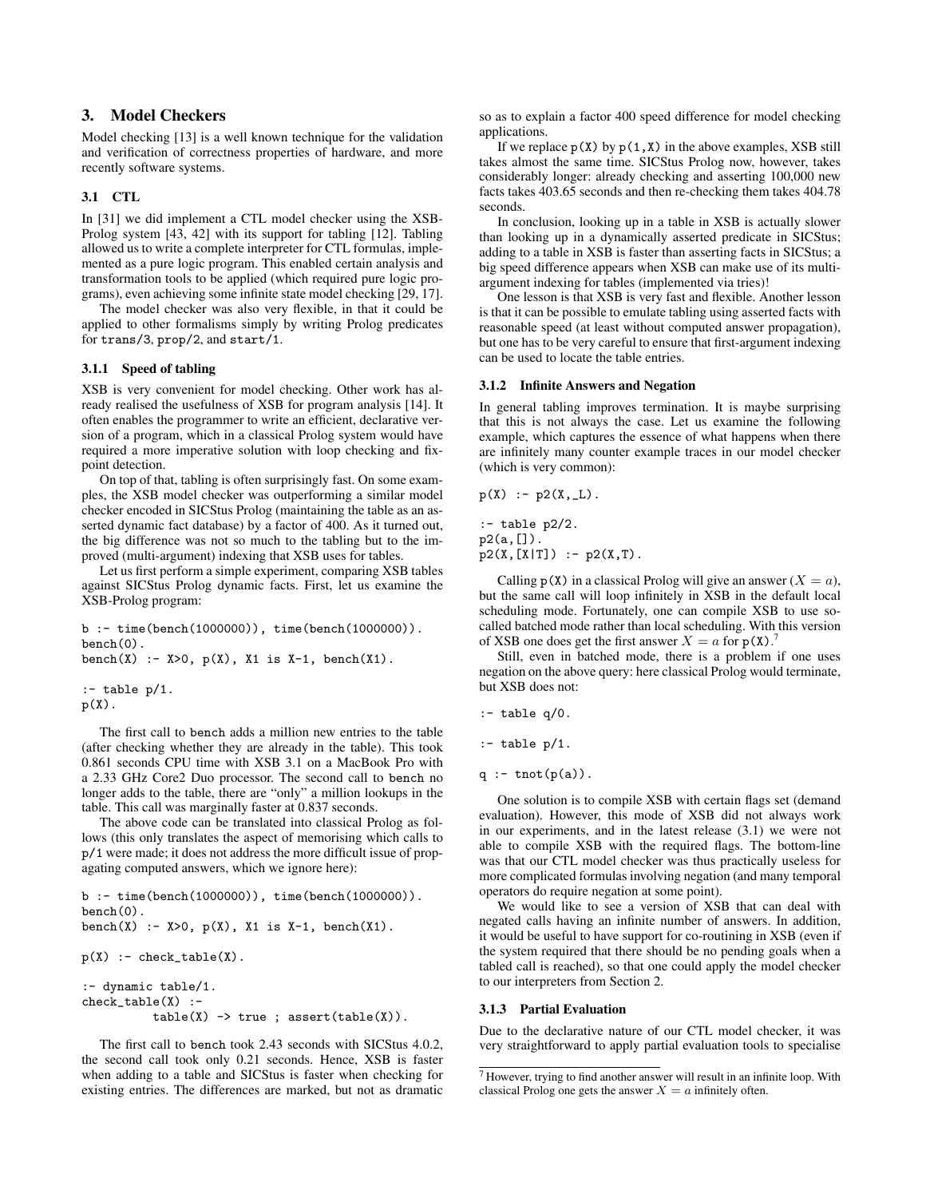## 3. Model Checkers

Model checking [13] is a well known technique for the validation and verification of correctness properties of hardware, and more recently software systems.

# 3.1 CTL

In [31] we did implement a CTL model checker using the XSB-Prolog system [43, 42] with its support for tabling [12]. Tabling allowed us to write a complete interpreter for CTL formulas, implemented as a pure logic program. This enabled certain analysis and transformation tools to be applied (which required pure logic programs), even achieving some infinite state model checking [29, 17].

The model checker was also very flexible, in that it could be applied to other formalisms simply by writing Prolog predicates for trans/3, prop/2, and start/1.

# 3.1.1 Speed of tabling

XSB is very convenient for model checking. Other work has already realised the usefulness of XSB for program analysis [14]. It often enables the programmer to write an efficient, declarative version of a program, which in a classical Prolog system would have required a more imperative solution with loop checking and fixpoint detection.

On top of that, tabling is often surprisingly fast. On some examples, the XSB model checker was outperforming a similar model checker encoded in SICStus Prolog (maintaining the table as an asserted dynamic fact database) by a factor of 400. As it turned out, the big difference was not so much to the tabling but to the improved (multi-argument) indexing that XSB uses for tables.

Let us first perform a simple experiment, comparing XSB tables against SICStus Prolog dynamic facts. First, let us examine the XSB-Prolog program:

```
b :- time(bench(1000000)), time(bench(1000000)).
bench(0).
bench(X) :- X>0, p(X), X1 is X-1, bench(X1).
:- table p/1.
p(X).
```
The first call to bench adds a million new entries to the table (after checking whether they are already in the table). This took 0.861 seconds CPU time with XSB 3.1 on a MacBook Pro with a 2.33 GHz Core2 Duo processor. The second call to bench no longer adds to the table, there are "only" a million lookups in the table. This call was marginally faster at 0.837 seconds.

The above code can be translated into classical Prolog as follows (this only translates the aspect of memorising which calls to p/1 were made; it does not address the more difficult issue of propagating computed answers, which we ignore here):

```
b :- time(bench(1000000)), time(bench(1000000)).
bench(0).
bench(X) :- X>0, p(X), X1 is X-1, bench(X1).
p(X) :- check_table(X).
```

```
:- dynamic table/1.
check_table(X) :-
           table(X) \rightarrow true ; assert(table(X)).
```
The first call to bench took 2.43 seconds with SICStus 4.0.2, the second call took only 0.21 seconds. Hence, XSB is faster when adding to a table and SICStus is faster when checking for existing entries. The differences are marked, but not as dramatic so as to explain a factor 400 speed difference for model checking applications.

If we replace  $p(X)$  by  $p(1,X)$  in the above examples, XSB still takes almost the same time. SICStus Prolog now, however, takes considerably longer: already checking and asserting 100,000 new facts takes 403.65 seconds and then re-checking them takes 404.78 seconds.

In conclusion, looking up in a table in XSB is actually slower than looking up in a dynamically asserted predicate in SICStus; adding to a table in XSB is faster than asserting facts in SICStus; a big speed difference appears when XSB can make use of its multiargument indexing for tables (implemented via tries)!

One lesson is that XSB is very fast and flexible. Another lesson is that it can be possible to emulate tabling using asserted facts with reasonable speed (at least without computed answer propagation), but one has to be very careful to ensure that first-argument indexing can be used to locate the table entries.

#### 3.1.2 Infinite Answers and Negation

In general tabling improves termination. It is maybe surprising that this is not always the case. Let us examine the following example, which captures the essence of what happens when there are infinitely many counter example traces in our model checker (which is very common):

$$
\mathtt{p}(\mathtt{X}) \ := \ \mathtt{p2}(\mathtt{X},\_\mathtt{L}) \ .
$$

:- table p2/2. p2(a,[]).  $p2(X,[X|T])$  :-  $p2(X,T)$ .

Calling  $p(X)$  in a classical Prolog will give an answer  $(X = a)$ , but the same call will loop infinitely in XSB in the default local scheduling mode. Fortunately, one can compile XSB to use socalled batched mode rather than local scheduling. With this version of XSB one does get the first answer  $X = a$  for  $p(X)$ .<sup>7</sup>

Still, even in batched mode, there is a problem if one uses negation on the above query: here classical Prolog would terminate, but XSB does not:

```
:- table q/0.
```

```
:- table p/1.
```

```
q := \text{tnot}(p(a)).
```
One solution is to compile XSB with certain flags set (demand evaluation). However, this mode of XSB did not always work in our experiments, and in the latest release (3.1) we were not able to compile XSB with the required flags. The bottom-line was that our CTL model checker was thus practically useless for more complicated formulas involving negation (and many temporal operators do require negation at some point).

We would like to see a version of XSB that can deal with negated calls having an infinite number of answers. In addition, it would be useful to have support for co-routining in XSB (even if the system required that there should be no pending goals when a tabled call is reached), so that one could apply the model checker to our interpreters from Section 2.

# 3.1.3 Partial Evaluation

Due to the declarative nature of our CTL model checker, it was very straightforward to apply partial evaluation tools to specialise

 $7$  However, trying to find another answer will result in an infinite loop. With classical Prolog one gets the answer  $X = a$  infinitely often.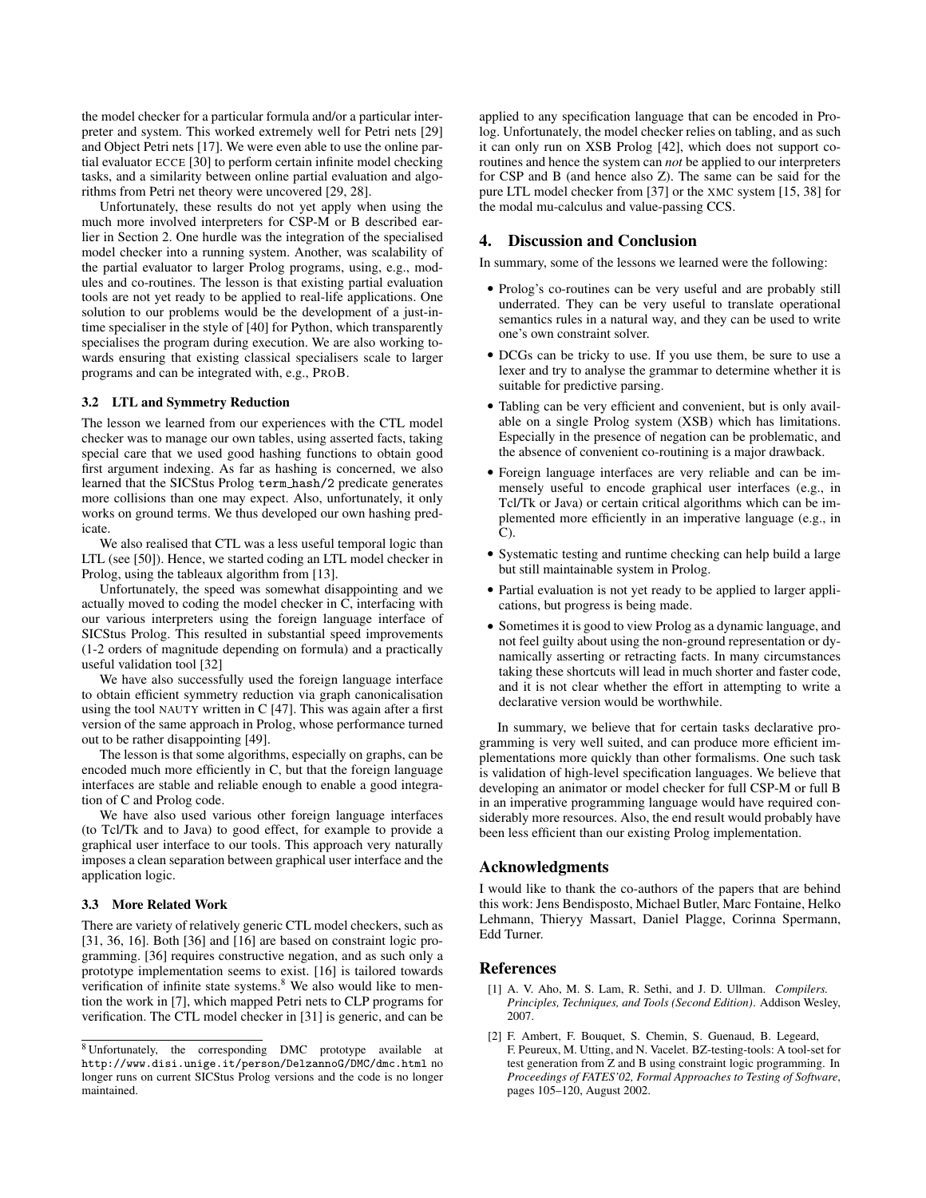the model checker for a particular formula and/or a particular interpreter and system. This worked extremely well for Petri nets [29] and Object Petri nets [17]. We were even able to use the online partial evaluator ECCE [30] to perform certain infinite model checking tasks, and a similarity between online partial evaluation and algorithms from Petri net theory were uncovered [29, 28].

Unfortunately, these results do not yet apply when using the much more involved interpreters for CSP-M or B described earlier in Section 2. One hurdle was the integration of the specialised model checker into a running system. Another, was scalability of the partial evaluator to larger Prolog programs, using, e.g., modules and co-routines. The lesson is that existing partial evaluation tools are not yet ready to be applied to real-life applications. One solution to our problems would be the development of a just-intime specialiser in the style of [40] for Python, which transparently specialises the program during execution. We are also working towards ensuring that existing classical specialisers scale to larger programs and can be integrated with, e.g., PROB.

#### 3.2 LTL and Symmetry Reduction

The lesson we learned from our experiences with the CTL model checker was to manage our own tables, using asserted facts, taking special care that we used good hashing functions to obtain good first argument indexing. As far as hashing is concerned, we also learned that the SICStus Prolog term hash/2 predicate generates more collisions than one may expect. Also, unfortunately, it only works on ground terms. We thus developed our own hashing predicate.

We also realised that CTL was a less useful temporal logic than LTL (see [50]). Hence, we started coding an LTL model checker in Prolog, using the tableaux algorithm from [13].

Unfortunately, the speed was somewhat disappointing and we actually moved to coding the model checker in C, interfacing with our various interpreters using the foreign language interface of SICStus Prolog. This resulted in substantial speed improvements (1-2 orders of magnitude depending on formula) and a practically useful validation tool [32]

We have also successfully used the foreign language interface to obtain efficient symmetry reduction via graph canonicalisation using the tool NAUTY written in  $C$  [47]. This was again after a first version of the same approach in Prolog, whose performance turned out to be rather disappointing [49].

The lesson is that some algorithms, especially on graphs, can be encoded much more efficiently in C, but that the foreign language interfaces are stable and reliable enough to enable a good integration of C and Prolog code.

We have also used various other foreign language interfaces (to Tcl/Tk and to Java) to good effect, for example to provide a graphical user interface to our tools. This approach very naturally imposes a clean separation between graphical user interface and the application logic.

#### 3.3 More Related Work

There are variety of relatively generic CTL model checkers, such as [31, 36, 16]. Both [36] and [16] are based on constraint logic programming. [36] requires constructive negation, and as such only a prototype implementation seems to exist. [16] is tailored towards verification of infinite state systems.<sup>8</sup> We also would like to mention the work in [7], which mapped Petri nets to CLP programs for verification. The CTL model checker in [31] is generic, and can be

applied to any specification language that can be encoded in Prolog. Unfortunately, the model checker relies on tabling, and as such it can only run on XSB Prolog [42], which does not support coroutines and hence the system can *not* be applied to our interpreters for CSP and B (and hence also Z). The same can be said for the pure LTL model checker from [37] or the XMC system [15, 38] for the modal mu-calculus and value-passing CCS.

#### 4. Discussion and Conclusion

In summary, some of the lessons we learned were the following:

- Prolog's co-routines can be very useful and are probably still underrated. They can be very useful to translate operational semantics rules in a natural way, and they can be used to write one's own constraint solver.
- DCGs can be tricky to use. If you use them, be sure to use a lexer and try to analyse the grammar to determine whether it is suitable for predictive parsing.
- Tabling can be very efficient and convenient, but is only available on a single Prolog system (XSB) which has limitations. Especially in the presence of negation can be problematic, and the absence of convenient co-routining is a major drawback.
- Foreign language interfaces are very reliable and can be immensely useful to encode graphical user interfaces (e.g., in Tcl/Tk or Java) or certain critical algorithms which can be implemented more efficiently in an imperative language (e.g., in  $\mathcal{C}$ ).
- Systematic testing and runtime checking can help build a large but still maintainable system in Prolog.
- Partial evaluation is not yet ready to be applied to larger applications, but progress is being made.
- Sometimes it is good to view Prolog as a dynamic language, and not feel guilty about using the non-ground representation or dynamically asserting or retracting facts. In many circumstances taking these shortcuts will lead in much shorter and faster code, and it is not clear whether the effort in attempting to write a declarative version would be worthwhile.

In summary, we believe that for certain tasks declarative programming is very well suited, and can produce more efficient implementations more quickly than other formalisms. One such task is validation of high-level specification languages. We believe that developing an animator or model checker for full CSP-M or full B in an imperative programming language would have required considerably more resources. Also, the end result would probably have been less efficient than our existing Prolog implementation.

#### Acknowledgments

I would like to thank the co-authors of the papers that are behind this work: Jens Bendisposto, Michael Butler, Marc Fontaine, Helko Lehmann, Thieryy Massart, Daniel Plagge, Corinna Spermann, Edd Turner.

#### **References**

- [1] A. V. Aho, M. S. Lam, R. Sethi, and J. D. Ullman. *Compilers. Principles, Techniques, and Tools (Second Edition)*. Addison Wesley, 2007.
- [2] F. Ambert, F. Bouquet, S. Chemin, S. Guenaud, B. Legeard, F. Peureux, M. Utting, and N. Vacelet. BZ-testing-tools: A tool-set for test generation from Z and B using constraint logic programming. In *Proceedings of FATES'02, Formal Approaches to Testing of Software*, pages 105–120, August 2002.

<sup>8</sup> Unfortunately, the corresponding DMC prototype available at http://www.disi.unige.it/person/DelzannoG/DMC/dmc.html no longer runs on current SICStus Prolog versions and the code is no longer maintained.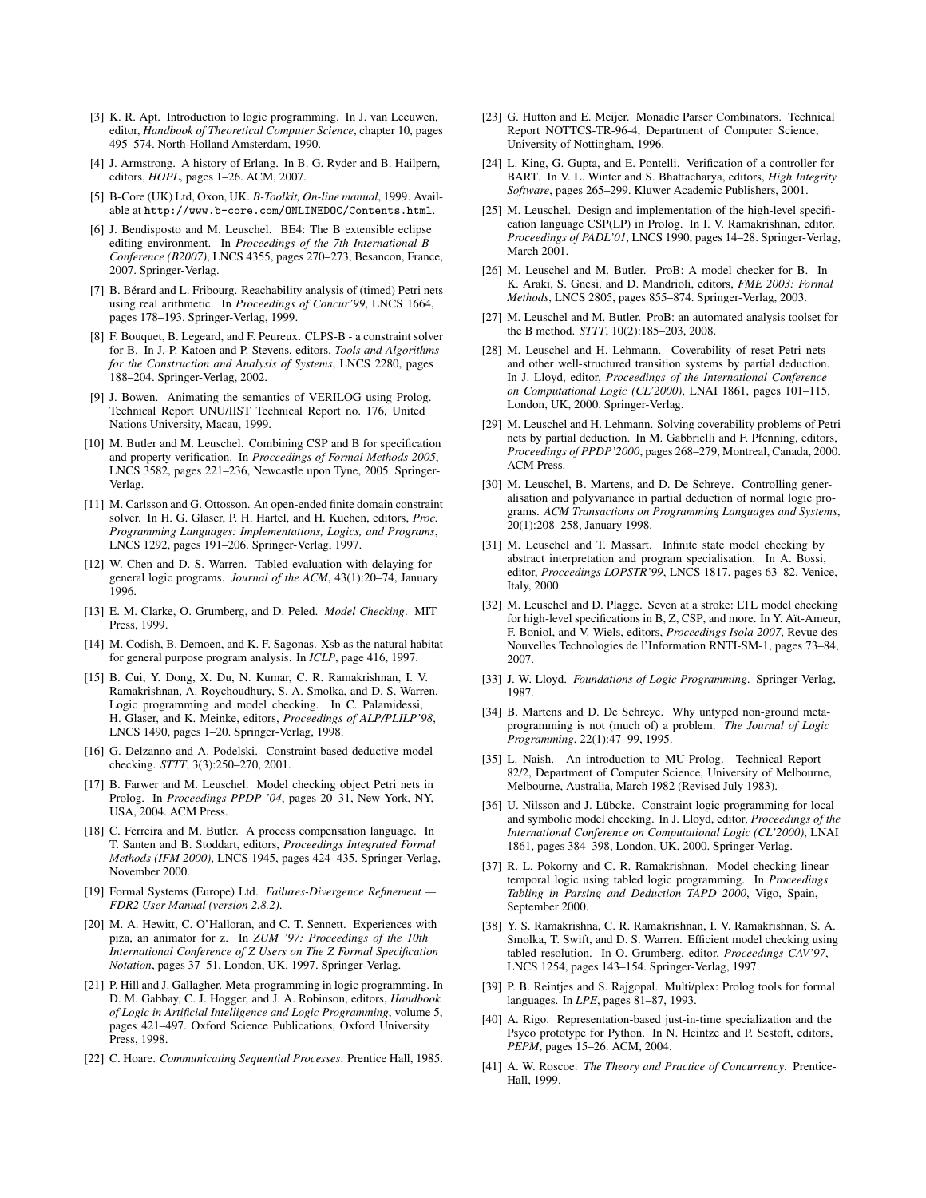- [3] K. R. Apt. Introduction to logic programming. In J. van Leeuwen, editor, *Handbook of Theoretical Computer Science*, chapter 10, pages 495–574. North-Holland Amsterdam, 1990.
- [4] J. Armstrong. A history of Erlang. In B. G. Ryder and B. Hailpern, editors, *HOPL*, pages 1–26. ACM, 2007.
- [5] B-Core (UK) Ltd, Oxon, UK. *B-Toolkit, On-line manual*, 1999. Available at http://www.b-core.com/ONLINEDOC/Contents.html.
- [6] J. Bendisposto and M. Leuschel. BE4: The B extensible eclipse editing environment. In *Proceedings of the 7th International B Conference (B2007)*, LNCS 4355, pages 270–273, Besancon, France, 2007. Springer-Verlag.
- [7] B. Bérard and L. Fribourg. Reachability analysis of (timed) Petri nets using real arithmetic. In *Proceedings of Concur'99*, LNCS 1664, pages 178–193. Springer-Verlag, 1999.
- [8] F. Bouquet, B. Legeard, and F. Peureux. CLPS-B a constraint solver for B. In J.-P. Katoen and P. Stevens, editors, *Tools and Algorithms for the Construction and Analysis of Systems*, LNCS 2280, pages 188–204. Springer-Verlag, 2002.
- [9] J. Bowen. Animating the semantics of VERILOG using Prolog. Technical Report UNU/IIST Technical Report no. 176, United Nations University, Macau, 1999.
- [10] M. Butler and M. Leuschel. Combining CSP and B for specification and property verification. In *Proceedings of Formal Methods 2005*, LNCS 3582, pages 221–236, Newcastle upon Tyne, 2005. Springer-Verlag.
- [11] M. Carlsson and G. Ottosson. An open-ended finite domain constraint solver. In H. G. Glaser, P. H. Hartel, and H. Kuchen, editors, *Proc. Programming Languages: Implementations, Logics, and Programs*, LNCS 1292, pages 191–206. Springer-Verlag, 1997.
- [12] W. Chen and D. S. Warren. Tabled evaluation with delaying for general logic programs. *Journal of the ACM*, 43(1):20–74, January 1996.
- [13] E. M. Clarke, O. Grumberg, and D. Peled. *Model Checking*. MIT Press, 1999.
- [14] M. Codish, B. Demoen, and K. F. Sagonas. Xsb as the natural habitat for general purpose program analysis. In *ICLP*, page 416, 1997.
- [15] B. Cui, Y. Dong, X. Du, N. Kumar, C. R. Ramakrishnan, I. V. Ramakrishnan, A. Roychoudhury, S. A. Smolka, and D. S. Warren. Logic programming and model checking. In C. Palamidessi, H. Glaser, and K. Meinke, editors, *Proceedings of ALP/PLILP'98*, LNCS 1490, pages 1–20. Springer-Verlag, 1998.
- [16] G. Delzanno and A. Podelski. Constraint-based deductive model checking. *STTT*, 3(3):250–270, 2001.
- [17] B. Farwer and M. Leuschel. Model checking object Petri nets in Prolog. In *Proceedings PPDP '04*, pages 20–31, New York, NY, USA, 2004. ACM Press.
- [18] C. Ferreira and M. Butler. A process compensation language. In T. Santen and B. Stoddart, editors, *Proceedings Integrated Formal Methods (IFM 2000)*, LNCS 1945, pages 424–435. Springer-Verlag, November 2000.
- [19] Formal Systems (Europe) Ltd. *Failures-Divergence Refinement — FDR2 User Manual (version 2.8.2)*.
- [20] M. A. Hewitt, C. O'Halloran, and C. T. Sennett. Experiences with piza, an animator for z. In *ZUM '97: Proceedings of the 10th International Conference of Z Users on The Z Formal Specification Notation*, pages 37–51, London, UK, 1997. Springer-Verlag.
- [21] P. Hill and J. Gallagher. Meta-programming in logic programming. In D. M. Gabbay, C. J. Hogger, and J. A. Robinson, editors, *Handbook of Logic in Artificial Intelligence and Logic Programming*, volume 5, pages 421–497. Oxford Science Publications, Oxford University Press, 1998.
- [22] C. Hoare. *Communicating Sequential Processes*. Prentice Hall, 1985.
- [23] G. Hutton and E. Meijer. Monadic Parser Combinators. Technical Report NOTTCS-TR-96-4, Department of Computer Science, University of Nottingham, 1996.
- [24] L. King, G. Gupta, and E. Pontelli. Verification of a controller for BART. In V. L. Winter and S. Bhattacharya, editors, *High Integrity Software*, pages 265–299. Kluwer Academic Publishers, 2001.
- [25] M. Leuschel. Design and implementation of the high-level specification language CSP(LP) in Prolog. In I. V. Ramakrishnan, editor, *Proceedings of PADL'01*, LNCS 1990, pages 14–28. Springer-Verlag, March 2001.
- [26] M. Leuschel and M. Butler. ProB: A model checker for B. In K. Araki, S. Gnesi, and D. Mandrioli, editors, *FME 2003: Formal Methods*, LNCS 2805, pages 855–874. Springer-Verlag, 2003.
- [27] M. Leuschel and M. Butler. ProB: an automated analysis toolset for the B method. *STTT*, 10(2):185–203, 2008.
- [28] M. Leuschel and H. Lehmann. Coverability of reset Petri nets and other well-structured transition systems by partial deduction. In J. Lloyd, editor, *Proceedings of the International Conference on Computational Logic (CL'2000)*, LNAI 1861, pages 101–115, London, UK, 2000. Springer-Verlag.
- [29] M. Leuschel and H. Lehmann. Solving coverability problems of Petri nets by partial deduction. In M. Gabbrielli and F. Pfenning, editors, *Proceedings of PPDP'2000*, pages 268–279, Montreal, Canada, 2000. ACM Press.
- [30] M. Leuschel, B. Martens, and D. De Schreye. Controlling generalisation and polyvariance in partial deduction of normal logic programs. *ACM Transactions on Programming Languages and Systems*, 20(1):208–258, January 1998.
- [31] M. Leuschel and T. Massart. Infinite state model checking by abstract interpretation and program specialisation. In A. Bossi, editor, *Proceedings LOPSTR'99*, LNCS 1817, pages 63–82, Venice, Italy, 2000.
- [32] M. Leuschel and D. Plagge. Seven at a stroke: LTL model checking for high-level specifications in B, Z, CSP, and more. In Y. Aït-Ameur, F. Boniol, and V. Wiels, editors, *Proceedings Isola 2007*, Revue des Nouvelles Technologies de l'Information RNTI-SM-1, pages 73–84, 2007.
- [33] J. W. Lloyd. *Foundations of Logic Programming*. Springer-Verlag, 1987.
- [34] B. Martens and D. De Schreye. Why untyped non-ground metaprogramming is not (much of) a problem. *The Journal of Logic Programming*, 22(1):47–99, 1995.
- [35] L. Naish. An introduction to MU-Prolog. Technical Report 82/2, Department of Computer Science, University of Melbourne, Melbourne, Australia, March 1982 (Revised July 1983).
- [36] U. Nilsson and J. Lübcke. Constraint logic programming for local and symbolic model checking. In J. Lloyd, editor, *Proceedings of the International Conference on Computational Logic (CL'2000)*, LNAI 1861, pages 384–398, London, UK, 2000. Springer-Verlag.
- [37] R. L. Pokorny and C. R. Ramakrishnan. Model checking linear temporal logic using tabled logic programming. In *Proceedings Tabling in Parsing and Deduction TAPD 2000*, Vigo, Spain, September 2000.
- [38] Y. S. Ramakrishna, C. R. Ramakrishnan, I. V. Ramakrishnan, S. A. Smolka, T. Swift, and D. S. Warren. Efficient model checking using tabled resolution. In O. Grumberg, editor, *Proceedings CAV'97*, LNCS 1254, pages 143–154. Springer-Verlag, 1997.
- [39] P. B. Reintjes and S. Rajgopal. Multi/plex: Prolog tools for formal languages. In *LPE*, pages 81–87, 1993.
- [40] A. Rigo. Representation-based just-in-time specialization and the Psyco prototype for Python. In N. Heintze and P. Sestoft, editors, *PEPM*, pages 15–26. ACM, 2004.
- [41] A. W. Roscoe. *The Theory and Practice of Concurrency*. Prentice-Hall, 1999.